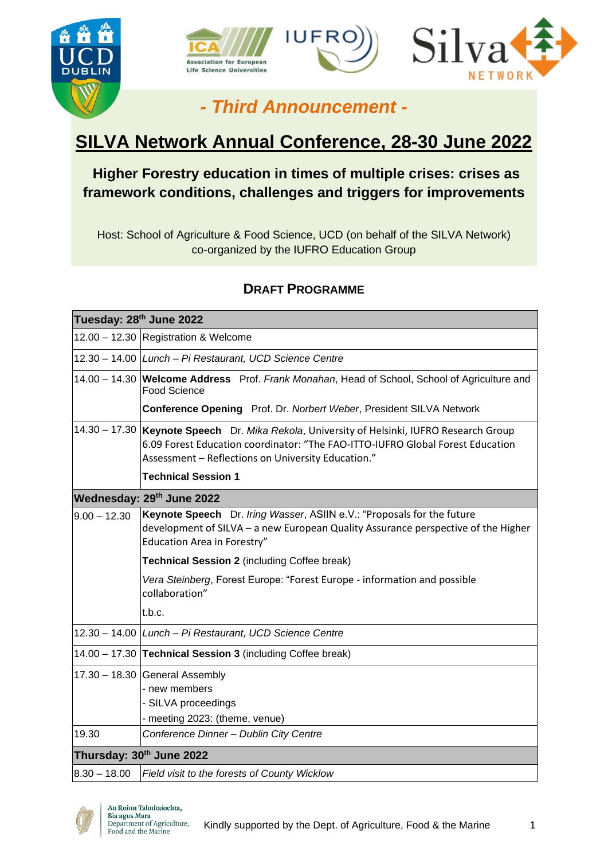



# *- Third Announcement -*

# **SILVA Network Annual Conference, 28-30 June 2022**

# **Higher Forestry education in times of multiple crises: crises as framework conditions, challenges and triggers for improvements**

Host: School of Agriculture & Food Science, UCD (on behalf of the SILVA Network) co-organized by the IUFRO Education Group

# **DRAFT PROGRAMME**

| Tuesday: 28th June 2022   |                                                                                                                                                                                                                                     |
|---------------------------|-------------------------------------------------------------------------------------------------------------------------------------------------------------------------------------------------------------------------------------|
|                           | 12.00 - 12.30 Registration & Welcome                                                                                                                                                                                                |
|                           | 12.30 - 14.00 Lunch - Pi Restaurant, UCD Science Centre                                                                                                                                                                             |
|                           | 14.00 - 14.30 Welcome Address Prof. Frank Monahan, Head of School, School of Agriculture and<br><b>Food Science</b>                                                                                                                 |
|                           | Conference Opening Prof. Dr. Norbert Weber, President SILVA Network                                                                                                                                                                 |
|                           | 14.30 - 17.30  Keynote Speech Dr. Mika Rekola, University of Helsinki, IUFRO Research Group<br>6.09 Forest Education coordinator: "The FAO-ITTO-IUFRO Global Forest Education<br>Assessment - Reflections on University Education." |
|                           | <b>Technical Session 1</b>                                                                                                                                                                                                          |
| Wednesday: 29th June 2022 |                                                                                                                                                                                                                                     |
| $9.00 - 12.30$            | Keynote Speech Dr. Iring Wasser, ASIIN e.V.: "Proposals for the future<br>development of SILVA - a new European Quality Assurance perspective of the Higher<br>Education Area in Forestry"                                          |
|                           | Technical Session 2 (including Coffee break)                                                                                                                                                                                        |
|                           | Vera Steinberg, Forest Europe: "Forest Europe - information and possible<br>collaboration"                                                                                                                                          |
|                           | t.b.c.                                                                                                                                                                                                                              |
|                           | 12.30 - 14.00 Lunch - Pi Restaurant, UCD Science Centre                                                                                                                                                                             |
|                           | 14.00 - 17.30 Technical Session 3 (including Coffee break)                                                                                                                                                                          |
|                           | $17.30 - 18.30$ General Assembly<br>- new members<br>- SILVA proceedings<br>meeting 2023: (theme, venue)                                                                                                                            |
| 19.30                     | Conference Dinner - Dublin City Centre                                                                                                                                                                                              |
| Thursday: 30th June 2022  |                                                                                                                                                                                                                                     |
| $8.30 - 18.00$            | Field visit to the forests of County Wicklow                                                                                                                                                                                        |

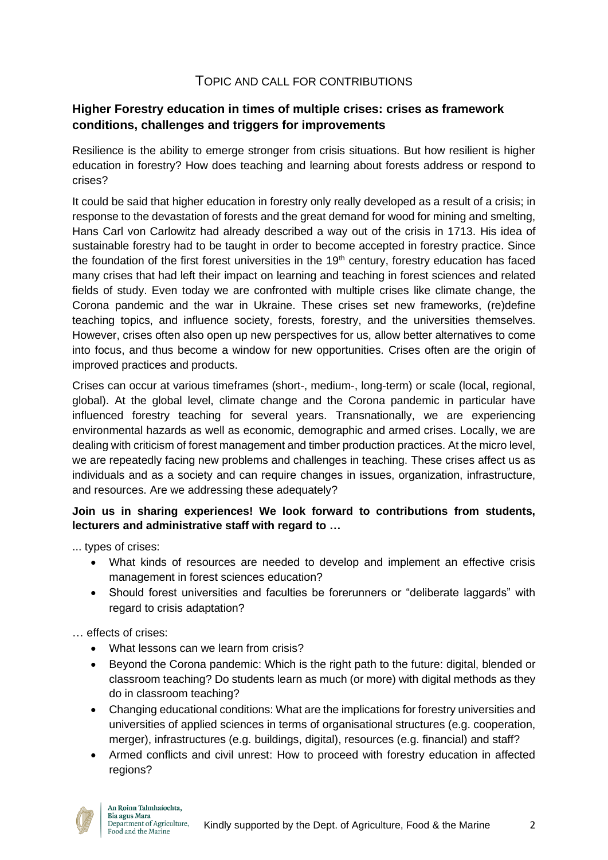### TOPIC AND CALL FOR CONTRIBUTIONS

#### **Higher Forestry education in times of multiple crises: crises as framework conditions, challenges and triggers for improvements**

Resilience is the ability to emerge stronger from crisis situations. But how resilient is higher education in forestry? How does teaching and learning about forests address or respond to crises?

It could be said that higher education in forestry only really developed as a result of a crisis; in response to the devastation of forests and the great demand for wood for mining and smelting, Hans Carl von Carlowitz had already described a way out of the crisis in 1713. His idea of sustainable forestry had to be taught in order to become accepted in forestry practice. Since the foundation of the first forest universities in the  $19<sup>th</sup>$  century, forestry education has faced many crises that had left their impact on learning and teaching in forest sciences and related fields of study. Even today we are confronted with multiple crises like climate change, the Corona pandemic and the war in Ukraine. These crises set new frameworks, (re)define teaching topics, and influence society, forests, forestry, and the universities themselves. However, crises often also open up new perspectives for us, allow better alternatives to come into focus, and thus become a window for new opportunities. Crises often are the origin of improved practices and products.

Crises can occur at various timeframes (short-, medium-, long-term) or scale (local, regional, global). At the global level, climate change and the Corona pandemic in particular have influenced forestry teaching for several years. Transnationally, we are experiencing environmental hazards as well as economic, demographic and armed crises. Locally, we are dealing with criticism of forest management and timber production practices. At the micro level, we are repeatedly facing new problems and challenges in teaching. These crises affect us as individuals and as a society and can require changes in issues, organization, infrastructure, and resources. Are we addressing these adequately?

#### **Join us in sharing experiences! We look forward to contributions from students, lecturers and administrative staff with regard to …**

... types of crises:

- What kinds of resources are needed to develop and implement an effective crisis management in forest sciences education?
- Should forest universities and faculties be forerunners or "deliberate laggards" with regard to crisis adaptation?

… effects of crises:

- What lessons can we learn from crisis?
- Beyond the Corona pandemic: Which is the right path to the future: digital, blended or classroom teaching? Do students learn as much (or more) with digital methods as they do in classroom teaching?
- Changing educational conditions: What are the implications for forestry universities and universities of applied sciences in terms of organisational structures (e.g. cooperation, merger), infrastructures (e.g. buildings, digital), resources (e.g. financial) and staff?
- Armed conflicts and civil unrest: How to proceed with forestry education in affected regions?

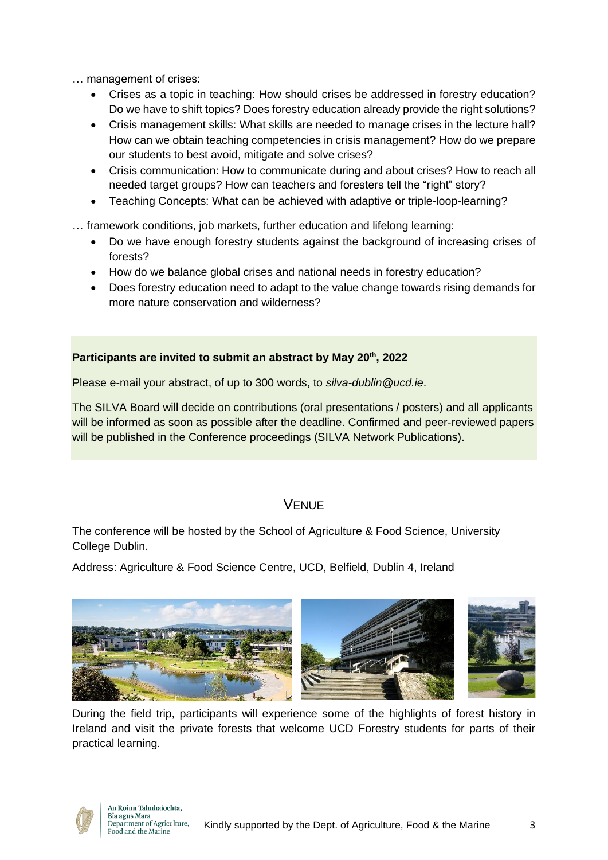… management of crises:

- Crises as a topic in teaching: How should crises be addressed in forestry education? Do we have to shift topics? Does forestry education already provide the right solutions?
- Crisis management skills: What skills are needed to manage crises in the lecture hall? How can we obtain teaching competencies in crisis management? How do we prepare our students to best avoid, mitigate and solve crises?
- Crisis communication: How to communicate during and about crises? How to reach all needed target groups? How can teachers and foresters tell the "right" story?
- Teaching Concepts: What can be achieved with adaptive or triple-loop-learning?
- … framework conditions, job markets, further education and lifelong learning:
	- Do we have enough forestry students against the background of increasing crises of forests?
	- How do we balance global crises and national needs in forestry education?
	- Does forestry education need to adapt to the value change towards rising demands for more nature conservation and wilderness?

#### **Participants are invited to submit an abstract by May 20th, 2022**

Please e-mail your abstract, of up to 300 words, to *silva-dublin@ucd.ie*.

The SILVA Board will decide on contributions (oral presentations / posters) and all applicants will be informed as soon as possible after the deadline. Confirmed and peer-reviewed papers will be published in the Conference proceedings (SILVA Network Publications).

## **VENUE**

The conference will be hosted by the School of Agriculture & Food Science, University College Dublin.

Address: Agriculture & Food Science Centre, UCD, Belfield, Dublin 4, Ireland



During the field trip, participants will experience some of the highlights of forest history in Ireland and visit the private forests that welcome UCD Forestry students for parts of their practical learning.